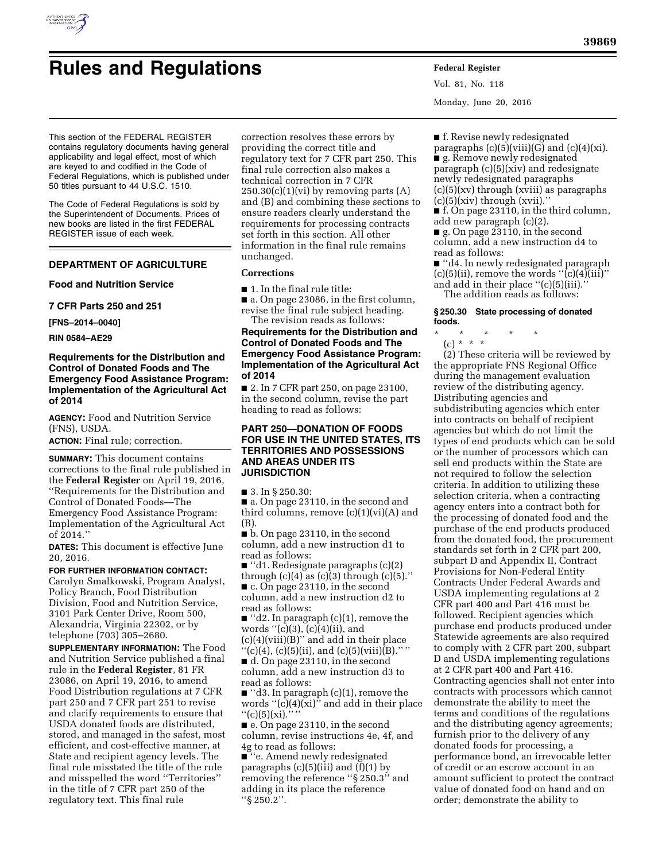

# **Rules and Regulations Federal Register**

This section of the FEDERAL REGISTER contains regulatory documents having general applicability and legal effect, most of which are keyed to and codified in the Code of Federal Regulations, which is published under 50 titles pursuant to 44 U.S.C. 1510.

The Code of Federal Regulations is sold by the Superintendent of Documents. Prices of new books are listed in the first FEDERAL REGISTER issue of each week.

## **DEPARTMENT OF AGRICULTURE**

## **Food and Nutrition Service**

**7 CFR Parts 250 and 251** 

**[FNS–2014–0040]** 

**RIN 0584–AE29** 

# **Requirements for the Distribution and Control of Donated Foods and The Emergency Food Assistance Program: Implementation of the Agricultural Act of 2014**

**AGENCY:** Food and Nutrition Service (FNS), USDA.

**ACTION:** Final rule; correction.

**SUMMARY:** This document contains corrections to the final rule published in the **Federal Register** on April 19, 2016, ''Requirements for the Distribution and Control of Donated Foods—The Emergency Food Assistance Program: Implementation of the Agricultural Act of 2014.''

**DATES:** This document is effective June 20, 2016.

#### **FOR FURTHER INFORMATION CONTACT:**

Carolyn Smalkowski, Program Analyst, Policy Branch, Food Distribution Division, Food and Nutrition Service, 3101 Park Center Drive, Room 500, Alexandria, Virginia 22302, or by telephone (703) 305–2680.

**SUPPLEMENTARY INFORMATION:** The Food and Nutrition Service published a final rule in the **Federal Register**, 81 FR 23086, on April 19, 2016, to amend Food Distribution regulations at 7 CFR part 250 and 7 CFR part 251 to revise and clarify requirements to ensure that USDA donated foods are distributed, stored, and managed in the safest, most efficient, and cost-effective manner, at State and recipient agency levels. The final rule misstated the title of the rule and misspelled the word ''Territories'' in the title of 7 CFR part 250 of the regulatory text. This final rule

correction resolves these errors by providing the correct title and regulatory text for 7 CFR part 250. This final rule correction also makes a technical correction in 7 CFR  $250.30(c)(1)(vi)$  by removing parts  $(A)$ and (B) and combining these sections to ensure readers clearly understand the requirements for processing contracts set forth in this section. All other information in the final rule remains unchanged.

## **Corrections**

■ 1. In the final rule title:

■ a. On page 23086, in the first column, revise the final rule subject heading. The revision reads as follows:

# **Requirements for the Distribution and Control of Donated Foods and The Emergency Food Assistance Program: Implementation of the Agricultural Act of 2014**

■ 2. In 7 CFR part 250, on page 23100, in the second column, revise the part heading to read as follows:

## **PART 250—DONATION OF FOODS FOR USE IN THE UNITED STATES, ITS TERRITORIES AND POSSESSIONS AND AREAS UNDER ITS JURISDICTION**

■ 3. In § 250.30:

■ a. On page 23110, in the second and third columns, remove  $(c)(1)(vi)(A)$  and (B).

■ b. On page 23110, in the second column, add a new instruction d1 to read as follows:

■ ''d1. Redesignate paragraphs (c)(2) through  $(c)(4)$  as  $(c)(3)$  through  $(c)(5)$ ." ■ c. On page 23110, in the second column, add a new instruction d2 to read as follows:

■ "d2. In paragraph (c)(1), remove the words ''(c)(3), (c)(4)(ii), and  $(c)(4)(viii)(B)'$  and add in their place "(c)(4), (c)(5)(ii), and (c)(5)(viii)(B)."" ■ d. On page 23110, in the second column, add a new instruction d3 to

read as follows:

■ ''d3. In paragraph (c)(1), remove the words  $"(\tilde{c})(4)(\tilde{x})"$  and add in their place  $''(c)(5)(xi)$ ."'

■ e. On page 23110, in the second column, revise instructions 4e, 4f, and 4g to read as follows:

■ ''e. Amend newly redesignated paragraphs (c)(5)(iii) and (f)(1) by removing the reference "§ 250.3" and adding in its place the reference ''§ 250.2''.

Vol. 81, No. 118 Monday, June 20, 2016

■ f. Revise newly redesignated paragraphs  $(c)(5)(viii)(G)$  and  $(c)(4)(xi)$ . ■ g. Remove newly redesignated

paragraph (c)(5)(xiv) and redesignate newly redesignated paragraphs (c)(5)(xv) through (xviii) as paragraphs  $(c)(5)(xiv)$  through  $(xvii)$ .

■ f. On page 23110, in the third column, add new paragraph (c)(2).

■ g. On page 23110, in the second

column, add a new instruction d4 to read as follows:

■ ''d4. In newly redesignated paragraph  $(c)(5)(ii)$ , remove the words " $\overline{(c)}(4)(iii)$ " and add in their place "(c)(5)(iii).' The addition reads as follows:

**§ 250.30 State processing of donated foods.** 

- \* \* \* \* \*
	- (c) \* \* \*

(2) These criteria will be reviewed by the appropriate FNS Regional Office during the management evaluation review of the distributing agency. Distributing agencies and subdistributing agencies which enter into contracts on behalf of recipient agencies but which do not limit the types of end products which can be sold or the number of processors which can sell end products within the State are not required to follow the selection criteria. In addition to utilizing these selection criteria, when a contracting agency enters into a contract both for the processing of donated food and the purchase of the end products produced from the donated food, the procurement standards set forth in 2 CFR part 200, subpart D and Appendix II, Contract Provisions for Non-Federal Entity Contracts Under Federal Awards and USDA implementing regulations at 2 CFR part 400 and Part 416 must be followed. Recipient agencies which purchase end products produced under Statewide agreements are also required to comply with 2 CFR part 200, subpart D and USDA implementing regulations at 2 CFR part 400 and Part 416. Contracting agencies shall not enter into contracts with processors which cannot demonstrate the ability to meet the terms and conditions of the regulations and the distributing agency agreements; furnish prior to the delivery of any donated foods for processing, a performance bond, an irrevocable letter of credit or an escrow account in an amount sufficient to protect the contract value of donated food on hand and on order; demonstrate the ability to